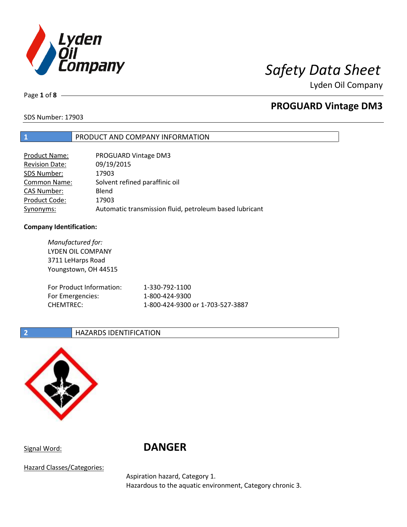

Page **1** of **8**

## **PROGUARD Vintage DM3**

SDS Number: 17903

## **1** PRODUCT AND COMPANY INFORMATION

| Product Name:         | PROGUARD Vintage DM3                                    |
|-----------------------|---------------------------------------------------------|
| <b>Revision Date:</b> | 09/19/2015                                              |
| SDS Number:           | 17903                                                   |
| <b>Common Name:</b>   | Solvent refined paraffinic oil                          |
| <b>CAS Number:</b>    | Blend                                                   |
| Product Code:         | 17903                                                   |
| Synonyms:             | Automatic transmission fluid, petroleum based lubricant |

## **Company Identification:**

| Manufactured for:<br>LYDEN OIL COMPANY<br>3711 LeHarps Road      |                                                                      |
|------------------------------------------------------------------|----------------------------------------------------------------------|
| Youngstown, OH 44515                                             |                                                                      |
| For Product Information:<br>For Emergencies:<br><b>CHEMTREC:</b> | 1-330-792-1100<br>1-800-424-9300<br>1-800-424-9300 or 1-703-527-3887 |

## **2 HAZARDS IDENTIFICATION**



# Signal Word: **DANGER**

Hazard Classes/Categories:

Aspiration hazard, Category 1. Hazardous to the aquatic environment, Category chronic 3.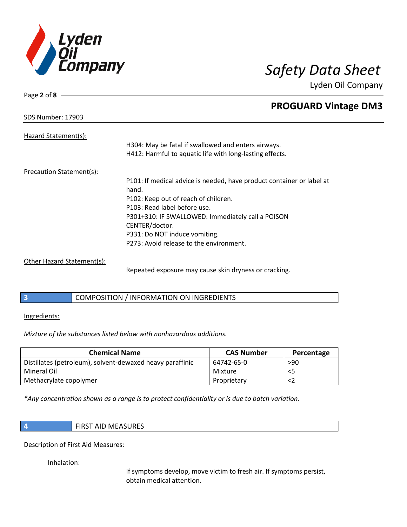

| Page 2 of 8              |                                                                       |
|--------------------------|-----------------------------------------------------------------------|
|                          | <b>PROGUARD Vintage DM3</b>                                           |
| <b>SDS Number: 17903</b> |                                                                       |
| Hazard Statement(s):     |                                                                       |
|                          | H304: May be fatal if swallowed and enters airways.                   |
|                          | H412: Harmful to aquatic life with long-lasting effects.              |
| Precaution Statement(s): |                                                                       |
|                          | P101: If medical advice is needed, have product container or label at |
|                          | hand.                                                                 |
|                          | P102: Keep out of reach of children.                                  |
|                          | P103: Read label before use.                                          |
|                          | P301+310: IF SWALLOWED: Immediately call a POISON                     |
|                          | CENTER/doctor.                                                        |
|                          | P331: Do NOT induce vomiting.                                         |
|                          | P273: Avoid release to the environment.                               |
|                          |                                                                       |

Other Hazard Statement(s):

Repeated exposure may cause skin dryness or cracking.

**3** COMPOSITION / INFORMATION ON INGREDIENTS

Ingredients:

*Mixture of the substances listed below with nonhazardous additions.*

| <b>Chemical Name</b>                                      | <b>CAS Number</b> | Percentage |
|-----------------------------------------------------------|-------------------|------------|
| Distillates (petroleum), solvent-dewaxed heavy paraffinic | 64742-65-0        | >90        |
| Mineral Oil                                               | Mixture           | $<$ 5      |
| Methacrylate copolymer                                    | Proprietary       | <2         |

*\*Any concentration shown as a range is to protect confidentiality or is due to batch variation.*

|--|

Description of First Aid Measures:

Inhalation:

If symptoms develop, move victim to fresh air. If symptoms persist, obtain medical attention.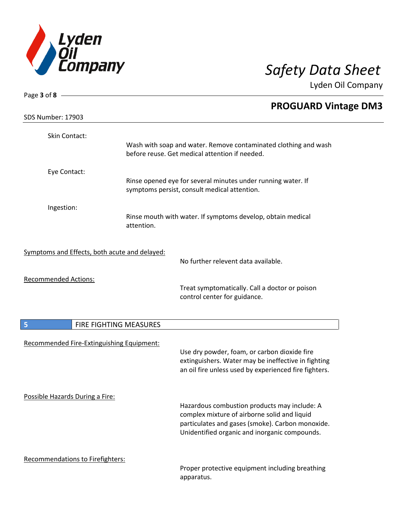

| Page $3$ of $8$ -                             |                        |                                                                                                                                                                                                   |
|-----------------------------------------------|------------------------|---------------------------------------------------------------------------------------------------------------------------------------------------------------------------------------------------|
| <b>SDS Number: 17903</b>                      |                        | <b>PROGUARD Vintage DM3</b>                                                                                                                                                                       |
| Skin Contact:                                 |                        | Wash with soap and water. Remove contaminated clothing and wash                                                                                                                                   |
|                                               |                        | before reuse. Get medical attention if needed.                                                                                                                                                    |
| Eye Contact:                                  |                        | Rinse opened eye for several minutes under running water. If<br>symptoms persist, consult medical attention.                                                                                      |
| Ingestion:                                    | attention.             | Rinse mouth with water. If symptoms develop, obtain medical                                                                                                                                       |
| Symptoms and Effects, both acute and delayed: |                        | No further relevent data available.                                                                                                                                                               |
| <b>Recommended Actions:</b>                   |                        | Treat symptomatically. Call a doctor or poison<br>control center for guidance.                                                                                                                    |
| 5                                             | FIRE FIGHTING MEASURES |                                                                                                                                                                                                   |
| Recommended Fire-Extinguishing Equipment:     |                        | Use dry powder, foam, or carbon dioxide fire<br>extinguishers. Water may be ineffective in fighting<br>an oil fire unless used by experienced fire fighters.                                      |
| Possible Hazards During a Fire:               |                        | Hazardous combustion products may include: A<br>complex mixture of airborne solid and liquid<br>particulates and gases (smoke). Carbon monoxide.<br>Unidentified organic and inorganic compounds. |
| Recommendations to Firefighters:              |                        | Proper protective equipment including breathing<br>apparatus.                                                                                                                                     |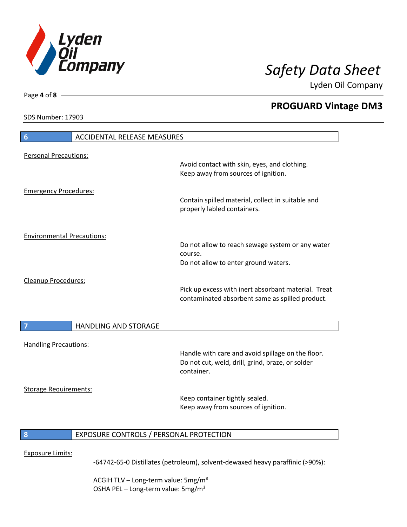

**PROGUARD Vintage DM3**

Lyden Oil Company

SDS Number: 17903

Page **4** of **8**

| $6\phantom{1}6$                   | <b>ACCIDENTAL RELEASE MEASURES</b>      |                                                                                                                     |
|-----------------------------------|-----------------------------------------|---------------------------------------------------------------------------------------------------------------------|
| <b>Personal Precautions:</b>      |                                         |                                                                                                                     |
|                                   |                                         | Avoid contact with skin, eyes, and clothing.<br>Keep away from sources of ignition.                                 |
| <b>Emergency Procedures:</b>      |                                         | Contain spilled material, collect in suitable and<br>properly labled containers.                                    |
| <b>Environmental Precautions:</b> |                                         |                                                                                                                     |
|                                   |                                         | Do not allow to reach sewage system or any water<br>course.<br>Do not allow to enter ground waters.                 |
| <b>Cleanup Procedures:</b>        |                                         | Pick up excess with inert absorbant material. Treat<br>contaminated absorbent same as spilled product.              |
|                                   | <b>HANDLING AND STORAGE</b>             |                                                                                                                     |
| <b>Handling Precautions:</b>      |                                         |                                                                                                                     |
|                                   |                                         | Handle with care and avoid spillage on the floor.<br>Do not cut, weld, drill, grind, braze, or solder<br>container. |
| <b>Storage Requirements:</b>      |                                         |                                                                                                                     |
|                                   |                                         | Keep container tightly sealed.<br>Keep away from sources of ignition.                                               |
| 8                                 | EXPOSURE CONTROLS / PERSONAL PROTECTION |                                                                                                                     |

## Exposure Limits:

-64742-65-0 Distillates (petroleum), solvent-dewaxed heavy paraffinic (>90%):

ACGIH TLV - Long-term value: 5mg/m<sup>3</sup> OSHA PEL - Long-term value: 5mg/m<sup>3</sup>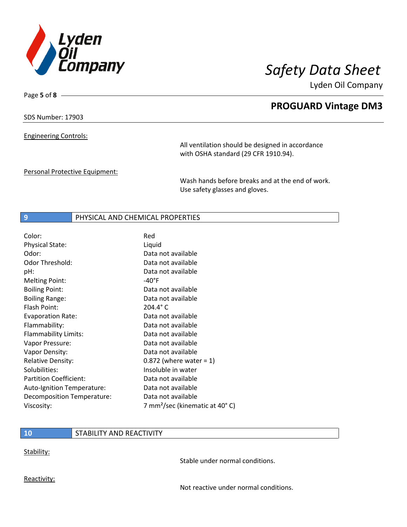

Page **5** of **8**

# **PROGUARD Vintage DM3**

Lyden Oil Company

SDS Number: 17903

Engineering Controls:

All ventilation should be designed in accordance with OSHA standard (29 CFR 1910.94).

Personal Protective Equipment:

Wash hands before breaks and at the end of work. Use safety glasses and gloves.

## **9** PHYSICAL AND CHEMICAL PROPERTIES

| Color:                        | Red                                        |
|-------------------------------|--------------------------------------------|
| <b>Physical State:</b>        | Liquid                                     |
| Odor:                         | Data not available                         |
| Odor Threshold:               | Data not available                         |
| pH:                           | Data not available                         |
| <b>Melting Point:</b>         | -40°F                                      |
| <b>Boiling Point:</b>         | Data not available                         |
| <b>Boiling Range:</b>         | Data not available                         |
| Flash Point:                  | $204.4^{\circ}$ C                          |
| <b>Evaporation Rate:</b>      | Data not available                         |
| Flammability:                 | Data not available                         |
| Flammability Limits:          | Data not available                         |
| Vapor Pressure:               | Data not available                         |
| Vapor Density:                | Data not available                         |
| <b>Relative Density:</b>      | $0.872$ (where water = 1)                  |
| Solubilities:                 | Insoluble in water                         |
| <b>Partition Coefficient:</b> | Data not available                         |
| Auto-Ignition Temperature:    | Data not available                         |
| Decomposition Temperature:    | Data not available                         |
| Viscosity:                    | 7 mm <sup>2</sup> /sec (kinematic at 40°C) |

## **10** STABILITY AND REACTIVITY

Stability:

Stable under normal conditions.

Reactivity:

Not reactive under normal conditions.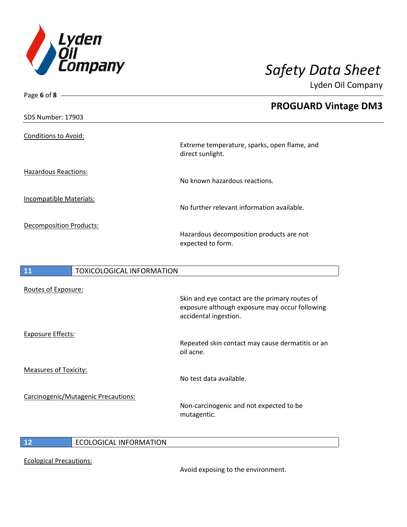

Page **6** of **8**

Lyden Oil Company

|                                |                                  | <b>PROGUARD Vintage DM3</b>                                      |
|--------------------------------|----------------------------------|------------------------------------------------------------------|
| <b>SDS Number: 17903</b>       |                                  |                                                                  |
| <b>Conditions to Avoid:</b>    |                                  |                                                                  |
|                                |                                  | Extreme temperature, sparks, open flame, and<br>direct sunlight. |
| <b>Hazardous Reactions:</b>    |                                  |                                                                  |
|                                |                                  | No known hazardous reactions.                                    |
| <b>Incompatible Materials:</b> |                                  |                                                                  |
|                                |                                  | No further relevant information available.                       |
|                                | <b>Decomposition Products:</b>   |                                                                  |
|                                |                                  | Hazardous decomposition products are not<br>expected to form.    |
|                                |                                  |                                                                  |
| 11                             | <b>TOXICOLOGICAL INFORMATION</b> |                                                                  |
| Routes of Exposure:            |                                  |                                                                  |
|                                |                                  | Skin and eve contact are the primary routes of                   |

Exposure Effects:

Measures of Toxicity:

Carcinogenic/Mutagenic Precautions:

nd eye contact are the primary routes o exposure although exposure may occur following accidental ingestion.

Repeated skin contact may cause dermatitis or an oil acne.

No test data available.

Non-carcinogenic and not expected to be mutagentic.

I

**12** ECOLOGICAL INFORMATION

Ecological Precautions:

Avoid exposing to the environment.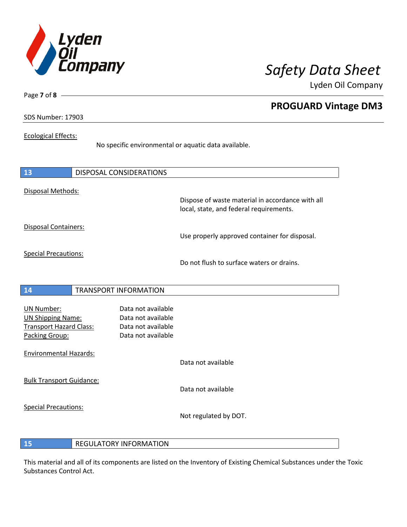

**PROGUARD Vintage DM3**

Lyden Oil Company

SDS Number: 17903

Page **7** of **8**

## Ecological Effects:

No specific environmental or aquatic data available.

| 13                                                                                                | DISPOSAL CONSIDERATIONS                                                              |                                                                                             |
|---------------------------------------------------------------------------------------------------|--------------------------------------------------------------------------------------|---------------------------------------------------------------------------------------------|
| Disposal Methods:                                                                                 |                                                                                      | Dispose of waste material in accordance with all<br>local, state, and federal requirements. |
| Disposal Containers:                                                                              |                                                                                      | Use properly approved container for disposal.                                               |
| <b>Special Precautions:</b>                                                                       |                                                                                      | Do not flush to surface waters or drains.                                                   |
| 14                                                                                                | <b>TRANSPORT INFORMATION</b>                                                         |                                                                                             |
| <b>UN Number:</b><br><b>UN Shipping Name:</b><br><b>Transport Hazard Class:</b><br>Packing Group: | Data not available<br>Data not available<br>Data not available<br>Data not available |                                                                                             |
| <b>Environmental Hazards:</b>                                                                     |                                                                                      | Data not available                                                                          |
| <b>Bulk Transport Guidance:</b>                                                                   |                                                                                      | Data not available                                                                          |
| <b>Special Precautions:</b>                                                                       |                                                                                      | Not regulated by DOT.                                                                       |

**15** REGULATORY INFORMATION

This material and all of its components are listed on the Inventory of Existing Chemical Substances under the Toxic Substances Control Act.